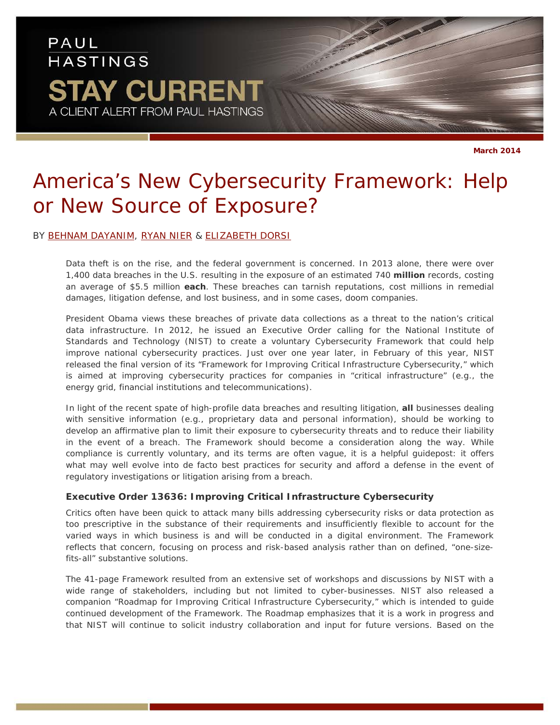# PAUL **HASTINGS STAY CURRENT** A CLIENT ALERT FROM PAUL HASTINGS

# *America's New Cybersecurity Framework: Help or New Source of Exposure?*

#### BY [BEHNAM DAYANIM,](http://paulhastings.com/professionals/details/bdayanim) [RYAN NIER](http://paulhastings.com/professionals/details/ryannier) & [ELIZABETH DORSI](http://paulhastings.com/professionals/details/elizabethdorsi)

Data theft is on the rise, and the federal government is concerned. In 2013 alone, there were over 1,400 data breaches in the U.S. resulting in the exposure of an estimated 740 **million** records, costing an average of \$5.5 million **each**. These breaches can tarnish reputations, cost millions in remedial damages, litigation defense, and lost business, and in some cases, doom companies.

President Obama views these breaches of private data collections as a threat to the nation's critical data infrastructure. In 2012, he issued an Executive Order calling for the National Institute of Standards and Technology (NIST) to create a voluntary Cybersecurity Framework that could help improve national cybersecurity practices. Just over one year later, in February of this year, NIST released the final version of its "*Framework for Improving Critical Infrastructure Cybersecurity*," which is aimed at improving cybersecurity practices for companies in "critical infrastructure" (*e.g.*, the energy grid, financial institutions and telecommunications).

In light of the recent spate of high-profile data breaches and resulting litigation, **all** businesses dealing with sensitive information (*e.g.*, proprietary data and personal information), should be working to develop an affirmative plan to limit their exposure to cybersecurity threats and to reduce their liability in the event of a breach. The Framework should become a consideration along the way. While compliance is currently voluntary, and its terms are often vague, it is a helpful guidepost: it offers what may well evolve into *de facto* best practices for security and afford a defense in the event of regulatory investigations or litigation arising from a breach.

## **Executive Order 13636: Improving Critical Infrastructure Cybersecurity**

Critics often have been quick to attack many bills addressing cybersecurity risks or data protection as too prescriptive in the substance of their requirements and insufficiently flexible to account for the varied ways in which business is and will be conducted in a digital environment. The Framework reflects that concern, focusing on process and risk-based analysis rather than on defined, "one-sizefits-all" substantive solutions.

The 41-page Framework resulted from an extensive set of workshops and discussions by NIST with a wide range of stakeholders, including but not limited to cyber-businesses. NIST also released a companion "*Roadmap for Improving Critical Infrastructure Cybersecurity*," which is intended to guide continued development of the Framework. The Roadmap emphasizes that it is a work in progress and that NIST will continue to solicit industry collaboration and input for future versions. Based on the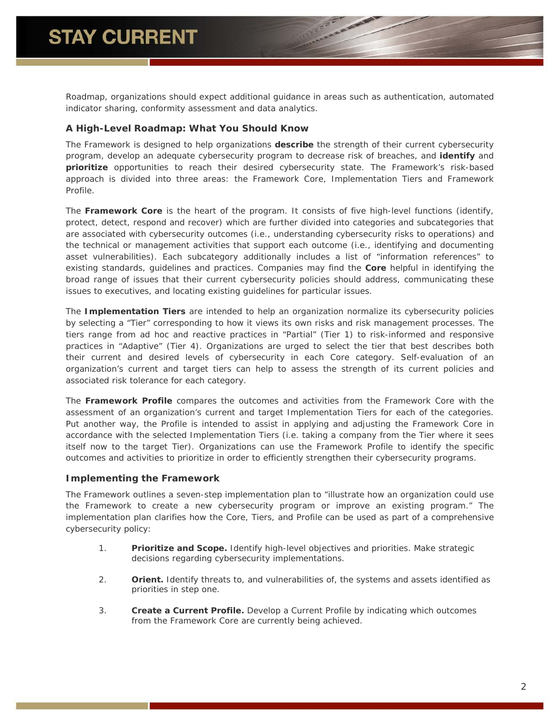*Roadmap*, organizations should expect additional guidance in areas such as authentication, automated indicator sharing, conformity assessment and data analytics.

## **A High-Level Roadmap: What You Should Know**

The Framework is designed to help organizations **describe** the strength of their current cybersecurity program, develop an adequate cybersecurity program to decrease risk of breaches, and **identify** and **prioritize** opportunities to reach their desired cybersecurity state. The Framework's risk-based approach is divided into three areas: the Framework Core, Implementation Tiers and Framework Profile.

The *Framework Core* is the heart of the program. It consists of five high-level functions (identify, protect, detect, respond and recover) which are further divided into categories and subcategories that are associated with cybersecurity outcomes (*i.e*., understanding cybersecurity risks to operations) and the technical or management activities that support each outcome (*i.e.*, identifying and documenting asset vulnerabilities). Each subcategory additionally includes a list of "information references" to existing standards, guidelines and practices. Companies may find the *Core* helpful in identifying the broad range of issues that their current cybersecurity policies should address, communicating these issues to executives, and locating existing guidelines for particular issues.

The *Implementation Tiers* are intended to help an organization normalize its cybersecurity policies by selecting a "Tier" corresponding to how it views its own risks and risk management processes. The tiers range from *ad hoc* and reactive practices in "Partial" (Tier 1) to risk-informed and responsive practices in "Adaptive" (Tier 4). Organizations are urged to select the tier that best describes both their current and desired levels of cybersecurity in each Core category. Self-evaluation of an organization's current and target tiers can help to assess the strength of its current policies and associated risk tolerance for each category.

The *Framework Profile* compares the outcomes and activities from the Framework Core with the assessment of an organization's current and target Implementation Tiers for each of the categories. Put another way, the Profile is intended to assist in applying and adjusting the Framework Core in accordance with the selected Implementation Tiers (*i.e*. taking a company from the Tier where it sees itself now to the target Tier). Organizations can use the Framework Profile to identify the specific outcomes and activities to prioritize in order to efficiently strengthen their cybersecurity programs.

## **Implementing the Framework**

The Framework outlines a seven-step implementation plan to "illustrate how an organization could use the Framework to create a new cybersecurity program or improve an existing program." The implementation plan clarifies how the Core, Tiers, and Profile can be used as part of a comprehensive cybersecurity policy:

- 1. **Prioritize and Scope.** Identify high-level objectives and priorities. Make strategic decisions regarding cybersecurity implementations.
- 2. **Orient.** Identify threats to, and vulnerabilities of, the systems and assets identified as priorities in step one.
- 3. **Create a Current Profile.** Develop a Current Profile by indicating which outcomes from the Framework Core are currently being achieved.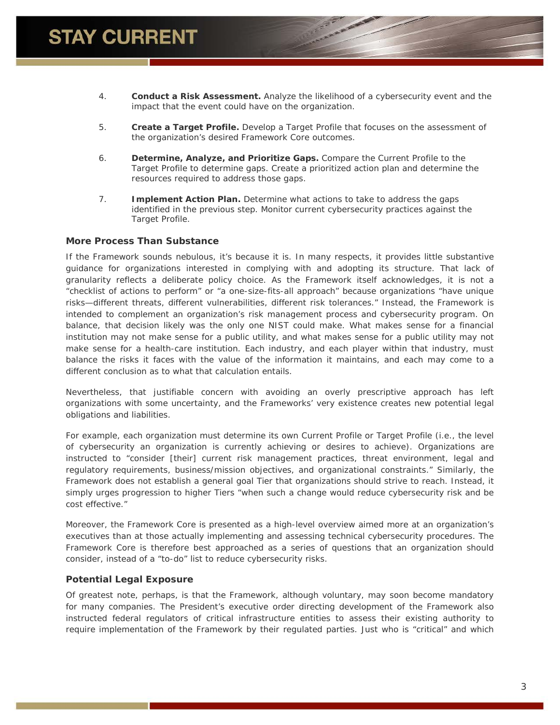- 4. **Conduct a Risk Assessment.** Analyze the likelihood of a cybersecurity event and the impact that the event could have on the organization.
- 5. **Create a Target Profile.** Develop a Target Profile that focuses on the assessment of the organization's desired Framework Core outcomes.
- 6. **Determine, Analyze, and Prioritize Gaps.** Compare the Current Profile to the Target Profile to determine gaps. Create a prioritized action plan and determine the resources required to address those gaps.
- 7. **Implement Action Plan.** Determine what actions to take to address the gaps identified in the previous step. Monitor current cybersecurity practices against the Target Profile.

#### **More Process Than Substance**

If the Framework sounds nebulous, it's because it is. In many respects, it provides little substantive guidance for organizations interested in complying with and adopting its structure. That lack of granularity reflects a deliberate policy choice. As the Framework itself acknowledges, it is not a "checklist of actions to perform" or "a one-size-fits-all approach" because organizations "have unique risks—different threats, different vulnerabilities, different risk tolerances." Instead, the Framework is intended to complement an organization's risk management process and cybersecurity program. On balance, that decision likely was the only one NIST could make. What makes sense for a financial institution may not make sense for a public utility, and what makes sense for a public utility may not make sense for a health-care institution. Each industry, and each player within that industry, must balance the risks it faces with the value of the information it maintains, and each may come to a different conclusion as to what that calculation entails.

Nevertheless, that justifiable concern with avoiding an overly prescriptive approach has left organizations with some uncertainty, and the Frameworks' very existence creates new potential legal obligations and liabilities.

For example, each organization must determine its own Current Profile or Target Profile (*i.e.*, the level of cybersecurity an organization is currently achieving or desires to achieve). Organizations are instructed to "consider [their] current risk management practices, threat environment, legal and regulatory requirements, business/mission objectives, and organizational constraints." Similarly, the Framework does not establish a general goal Tier that organizations should strive to reach. Instead, it simply urges progression to higher Tiers "when such a change would reduce cybersecurity risk and be cost effective."

Moreover, the Framework Core is presented as a high-level overview aimed more at an organization's executives than at those actually implementing and assessing technical cybersecurity procedures. The Framework Core is therefore best approached as a series of questions that an organization should consider, instead of a "to-do" list to reduce cybersecurity risks.

## **Potential Legal Exposure**

Of greatest note, perhaps, is that the Framework, although voluntary, may soon become mandatory for many companies. The President's executive order directing development of the Framework also instructed federal regulators of critical infrastructure entities to assess their existing authority to require implementation of the Framework by their regulated parties. Just who is "critical" and which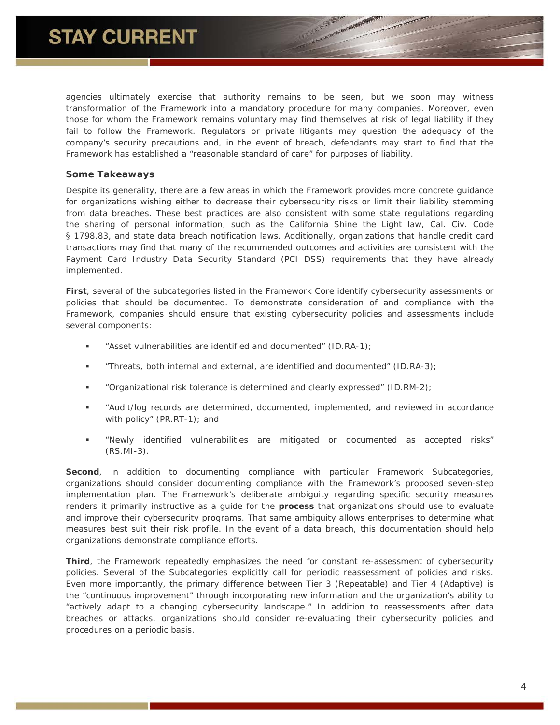agencies ultimately exercise that authority remains to be seen, but we soon may witness transformation of the Framework into a mandatory procedure for many companies. Moreover, even those for whom the Framework remains voluntary may find themselves at risk of legal liability if they fail to follow the Framework. Regulators or private litigants may question the adequacy of the company's security precautions and, in the event of breach, defendants may start to find that the Framework has established a "reasonable standard of care" for purposes of liability.

#### **Some Takeaways**

Despite its generality, there are a few areas in which the Framework provides more concrete guidance for organizations wishing either to decrease their cybersecurity risks or limit their liability stemming from data breaches. These best practices are also consistent with some state regulations regarding the sharing of personal information, such as the California Shine the Light law, Cal. Civ. Code § 1798.83, and state data breach notification laws. Additionally, organizations that handle credit card transactions may find that many of the recommended outcomes and activities are consistent with the Payment Card Industry Data Security Standard (PCI DSS) requirements that they have already implemented.

**First**, several of the subcategories listed in the Framework Core identify cybersecurity assessments or policies that should be documented. To demonstrate consideration of and compliance with the Framework, companies should ensure that existing cybersecurity policies and assessments include several components:

- "Asset vulnerabilities are identified and documented" (ID.RA-1);
- **Threats, both internal and external, are identified and documented" (ID.RA-3);**
- "Organizational risk tolerance is determined and clearly expressed" (ID.RM-2);
- "Audit/log records are determined, documented, implemented, and reviewed in accordance with policy" (PR.RT-1); and
- "Newly identified vulnerabilities are mitigated or documented as accepted risks" (RS.MI-3).

**Second**, in addition to documenting compliance with particular Framework Subcategories, organizations should consider documenting compliance with the Framework's proposed seven-step implementation plan. The Framework's deliberate ambiguity regarding specific security measures renders it primarily instructive as a guide for the **process** that organizations should use to evaluate and improve their cybersecurity programs. That same ambiguity allows enterprises to determine what measures best suit their risk profile. In the event of a data breach, this documentation should help organizations demonstrate compliance efforts.

**Third**, the Framework repeatedly emphasizes the need for constant re-assessment of cybersecurity policies. Several of the Subcategories explicitly call for periodic reassessment of policies and risks. Even more importantly, the primary difference between Tier 3 (Repeatable) and Tier 4 (Adaptive) is the "continuous improvement" through incorporating new information and the organization's ability to "actively adapt to a changing cybersecurity landscape." In addition to reassessments after data breaches or attacks, organizations should consider re-evaluating their cybersecurity policies and procedures on a periodic basis.